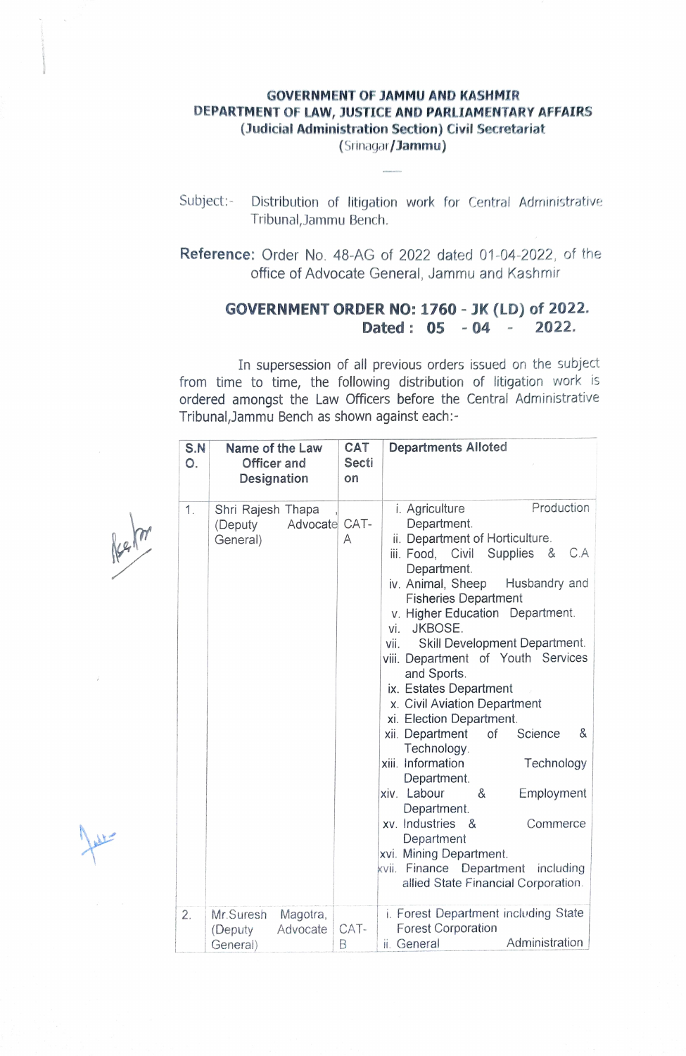## GOVERNMENT OF JAMMU AND KASHMIR DEPARTMENT OF LAW, JUSTICE AND PARLIAMENTARY AFFAIRS (Judicial Administration Section) Civil Secretariat

(Srinagar/Jammu)

- Subject:- Distribution of litigation work for Central Administrative Tribunal, Jammu Bench.
- Reference: Order No. 48-AG of 2022 dated 01-04-2022, of the office of Advocate General, Jammu and Kashmir

## GOVERNMENT ORDER NO: 1760 - JK (LD) of 2022. Dated:  $05 - 04 - 2022$ .

In supersession of all previous orders issued on the subject from time to time, the following distribution of litigation work is ordered amongst the Law Officers before the Central Administrative Tribunal,Jammu Bench as shown against each:

| S.N<br>О. | Name of the Law<br>Officer and<br>Designation             | <b>CAT</b><br>Secti<br>on | <b>Departments Alloted</b>                                                                                                                                                                                                                                                                                                                                                                                                                                                                                                                                                                                                                                                                                                                                         |
|-----------|-----------------------------------------------------------|---------------------------|--------------------------------------------------------------------------------------------------------------------------------------------------------------------------------------------------------------------------------------------------------------------------------------------------------------------------------------------------------------------------------------------------------------------------------------------------------------------------------------------------------------------------------------------------------------------------------------------------------------------------------------------------------------------------------------------------------------------------------------------------------------------|
| 1.        | Shri Rajesh Thapa<br>Advocate CAT-<br>(Deputy<br>General) | Α                         | Production<br>i. Agriculture<br>Department.<br>ii. Department of Horticulture.<br>iii. Food, Civil Supplies &<br>C.A<br>Department.<br>iv. Animal, Sheep<br>Husbandry and<br><b>Fisheries Department</b><br>v. Higher Education Department.<br>vi. JKBOSE.<br>Skill Development Department.<br>vii.<br>viii. Department of Youth Services<br>and Sports.<br>ix. Estates Department<br>x. Civil Aviation Department<br>xi. Election Department.<br>xii. Department<br>of<br>Science<br>&<br>Technology.<br>xiii. Information<br>Technology<br>Department.<br>xiv. Labour<br>&<br>Employment<br>Department.<br>xv. Industries &<br>Commerce<br>Department<br>xvi. Mining Department.<br>kvii. Finance Department<br>including<br>allied State Financial Corporation. |
| 2.        | Mr.Suresh<br>Magotra,<br>Advocate<br>(Deputy<br>General)  | CAT-<br>В                 | i. Forest Department including State<br><b>Forest Corporation</b><br>Administration<br>ii. General                                                                                                                                                                                                                                                                                                                                                                                                                                                                                                                                                                                                                                                                 |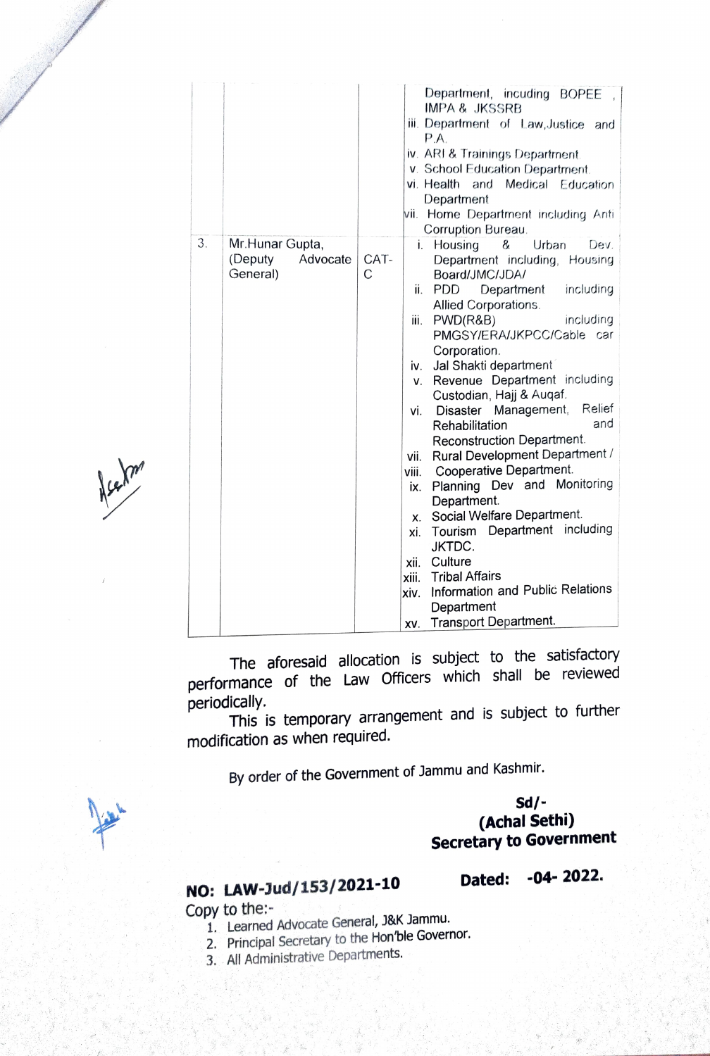|    |                      |      | P.A.                                         |
|----|----------------------|------|----------------------------------------------|
|    |                      |      | iv. ARI & Trainings Department.              |
|    |                      |      | v. School Education Department.              |
|    |                      |      | vi. Health<br>Medical Education<br>and       |
|    |                      |      | Department                                   |
|    |                      |      | Home Department including Anti<br>MIL.       |
|    |                      |      | Corruption Bureau.                           |
| 3. | Mr. Hunar Gupta,     |      | &<br>Urban<br>Housing<br>Dev.<br>Ì.          |
|    | (Deputy)<br>Advocate | CAT- | Department including, Housing                |
|    | General)             | C    | Board/JMC/JDA/                               |
|    |                      |      | <b>PDD</b><br>including<br>ii.<br>Department |
|    |                      |      | Allied Corporations.                         |
|    |                      |      | PWD(R&B)<br>including<br>iii.                |
|    |                      |      | PMGSY/ERA/JKPCC/Cable car                    |
|    |                      |      | Corporation.                                 |
|    |                      |      | Jal Shakti department<br>iv.                 |
|    |                      |      | Revenue Department including<br>V.           |
|    |                      |      | Custodian, Hajj & Augaf.                     |
|    |                      |      | Relief<br>Disaster Management,<br>vi.        |
|    |                      |      | and<br>Rehabilitation                        |
|    |                      |      | Reconstruction Department.                   |
|    |                      |      | Rural Development Department /<br>vii.       |
|    |                      |      | Cooperative Department.<br>viii.             |
|    |                      |      | Planning Dev and Monitoring<br>ix.           |
|    |                      |      | Department.                                  |
|    |                      |      | Social Welfare Department.<br>Х.             |
|    |                      |      | Tourism Department including<br>xi.          |
|    |                      |      | JKTDC.                                       |
|    |                      |      | Culture<br>хii.                              |
|    |                      |      | <b>Tribal Affairs</b><br>xiii.               |
|    |                      |      | Information and Public Relations<br>xiv.     |
|    |                      |      | Department                                   |
|    |                      |      | <b>Transport Department.</b><br>XV.          |
|    |                      |      |                                              |

Nechn'

The aforesaid allocation is subject to the satisfactory performance of the Law Officers which shall be reviewed periodically.

This is temporary arrangement and is subject to further modification as when required.

By order of the Government of Jammu and Kashmir.

Sd/ (Achal Sethi) Secretary to Government

Department, incuding BOPEE,

ii. Departrnent of Law,Justice and

IMPA & JKSSRB

## Dated: -04- 2022.

NO: LAW-Jud/153/2021-10 Copy to the:

- 1. Learned Advocate General, J&K Jammu.
- 2. Principal Secretary to the Hon'ble Governor
- 3. All Administrative Departments.